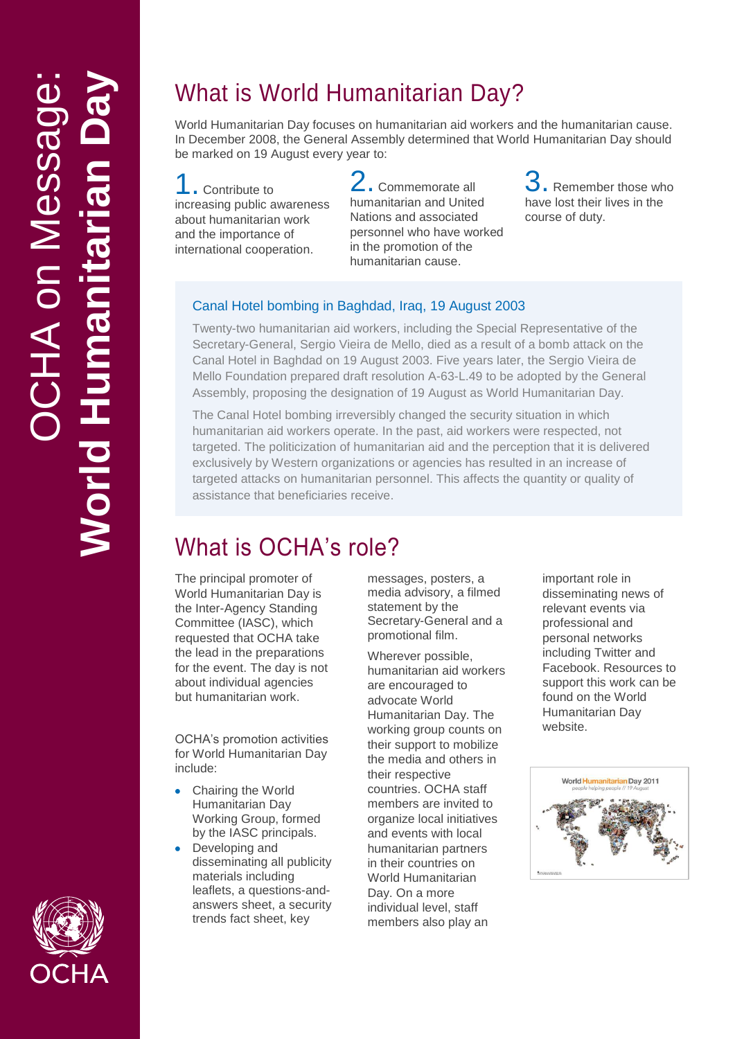## What is World Humanitarian Day ?

World Humanitarian Day focuses on humanitarian aid workers and the humanitarian cause. In December 2008, the General Assembly determined that World Humanitarian Day should be marked on 19 August every year to:

**.** Contribute to increasing public awareness about humanitarian work and the importance of international cooperation .

2. Commemorate all humanitarian and United Nations and associated personnel who have worked in the promotion of the humanitarian cause .

3. Remember those who have lost their lives in the course of duty .

### Canal Hotel bombing in Baghdad, Iraq, 19 August 2003

Twenty -two humanitarian aid workers, including the Special Representative of the Secretary -General, Sergio Vieira de Mello, died as a result of a bomb attack on the Canal Hotel in Baghdad on 19 August 2003. Five years later, the Sergio Vieira de Mello Foundation prepared draft resolution A -63 -L.49 to be adopted by the General Assembly, proposing the designation of 19 August as World Humanitarian Day.

The Canal Hotel bombing irreversibly changed the security situation in which humanitarian aid workers operate. In the past, aid workers were respected, not targeted. The politicization of humanitarian aid and the perception that it is delivered exclusively by Western organizations or agencies has resulted in an increase of targeted attacks on humanitarian personnel. This affects the quantity or quality of assistance that beneficiaries receive.

# What is OCHA's role?

The principal promoter of World Humanitarian Day is the Inter -Agency Standing Committee (IASC), which requested that OCHA take the lead in the preparations for the event. The day is not about individual agencies but humanitarian work.

OCHA's promotion activities for World Humanitarian Day include:

- Chairing the World  $\bullet$ Humanitarian Day Working Group, formed by the IASC principals.
- Developing and disseminating all publicity materials including leaflets, a questions -and answers sheet, a security trends fact sheet, key

messages, posters, a media advisory, a filmed statement by the Secretary -General and a promotional film.

Wherever possible, humanitarian aid workers are encouraged to advocate World Humanitarian Day. The working group counts on their support to mobilize the media and others in their respective countries. OCHA staff members are invited to organize local initiatives and events with local humanitarian partners in their countries on World Humanitarian Day. On a more individual level, staff members also play an

important role in disseminating news of relevant events via professional and personal networks including Twitter and Facebook. Resources to support this work can be found on the World Humanitarian Day website .